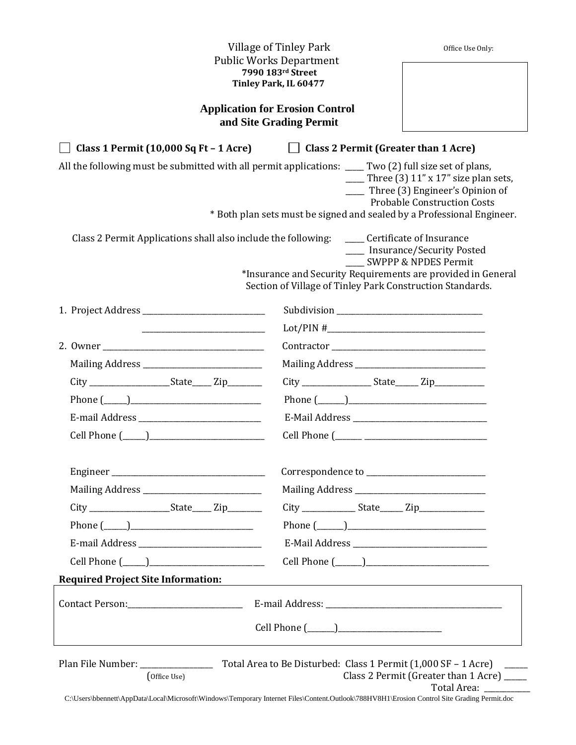| Village of Tinley Park<br><b>Public Works Department</b><br>7990 183rd Street<br>Tinley Park, IL 60477<br><b>Application for Erosion Control</b><br>and Site Grading Permit                                                                                                                      |                                                                        | Office Use Only: |  |  |
|--------------------------------------------------------------------------------------------------------------------------------------------------------------------------------------------------------------------------------------------------------------------------------------------------|------------------------------------------------------------------------|------------------|--|--|
|                                                                                                                                                                                                                                                                                                  |                                                                        |                  |  |  |
|                                                                                                                                                                                                                                                                                                  |                                                                        |                  |  |  |
| Class 1 Permit (10,000 Sq Ft - 1 Acre) Class 2 Permit (Greater than 1 Acre)                                                                                                                                                                                                                      |                                                                        |                  |  |  |
| All the following must be submitted with all permit applications: ____ Two (2) full size set of plans,<br>$\frac{1}{2}$ Three (3) 11" x 17" size plan sets,<br>____ Three (3) Engineer's Opinion of<br><b>Probable Construction Costs</b>                                                        |                                                                        |                  |  |  |
|                                                                                                                                                                                                                                                                                                  | * Both plan sets must be signed and sealed by a Professional Engineer. |                  |  |  |
| Class 2 Permit Applications shall also include the following:<br>____ Certificate of Insurance<br>____ Insurance/Security Posted<br><b>SWPPP &amp; NPDES Permit</b><br>*Insurance and Security Requirements are provided in General<br>Section of Village of Tinley Park Construction Standards. |                                                                        |                  |  |  |
|                                                                                                                                                                                                                                                                                                  |                                                                        |                  |  |  |
|                                                                                                                                                                                                                                                                                                  |                                                                        |                  |  |  |
|                                                                                                                                                                                                                                                                                                  |                                                                        |                  |  |  |
|                                                                                                                                                                                                                                                                                                  |                                                                        |                  |  |  |
|                                                                                                                                                                                                                                                                                                  |                                                                        |                  |  |  |
| Phone $(\_\_)$                                                                                                                                                                                                                                                                                   | Phone $(\_\_)$                                                         |                  |  |  |
|                                                                                                                                                                                                                                                                                                  |                                                                        |                  |  |  |
|                                                                                                                                                                                                                                                                                                  |                                                                        |                  |  |  |
|                                                                                                                                                                                                                                                                                                  |                                                                        |                  |  |  |
|                                                                                                                                                                                                                                                                                                  |                                                                        |                  |  |  |
| City ______________________State______ Zip_________                                                                                                                                                                                                                                              |                                                                        |                  |  |  |
| Phone $(\_\_)$                                                                                                                                                                                                                                                                                   |                                                                        |                  |  |  |
|                                                                                                                                                                                                                                                                                                  |                                                                        |                  |  |  |
|                                                                                                                                                                                                                                                                                                  |                                                                        |                  |  |  |
| <b>Required Project Site Information:</b>                                                                                                                                                                                                                                                        |                                                                        |                  |  |  |
|                                                                                                                                                                                                                                                                                                  |                                                                        |                  |  |  |
|                                                                                                                                                                                                                                                                                                  |                                                                        |                  |  |  |
| Class 2 Permit (Greater than 1 Acre) _____<br>(Office Use)<br>Total Area:<br>C:\Users\bbennett\AppData\Local\Microsoft\Windows\Temporary Internet Files\Content.Outlook\788HV8H1\Erosion Control Site Grading Permit.doc                                                                         |                                                                        |                  |  |  |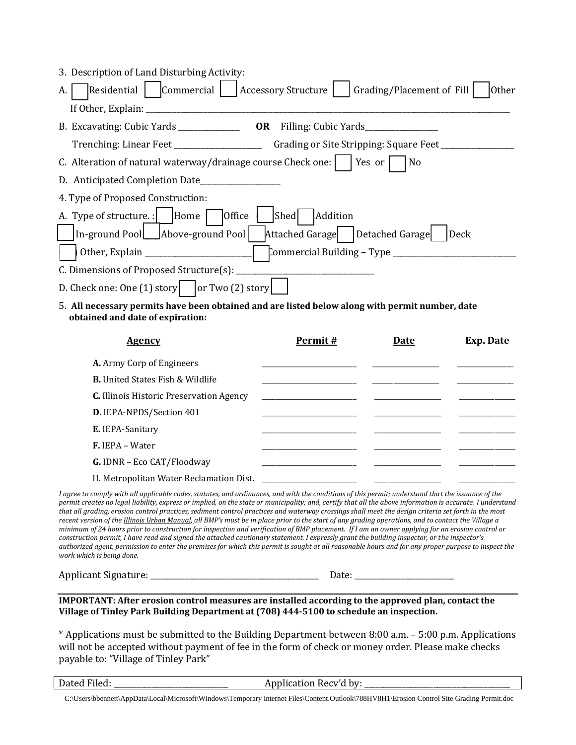| 3. Description of Land Disturbing Activity:                                                         |
|-----------------------------------------------------------------------------------------------------|
| Residential   Commercial   Accessory Structure  <br>Grading/Placement of Fill<br><b>Other</b><br>А. |
| If Other, Explain: ____________                                                                     |
|                                                                                                     |
|                                                                                                     |
| C. Alteration of natural waterway/drainage course Check one:     Yes or  <br>l No                   |
| D. Anticipated Completion Date                                                                      |
| 4. Type of Proposed Construction:                                                                   |
| A. Type of structure. :    Home    Office<br>Shed<br>Addition                                       |
| In-ground Pool   Above-ground Pool<br>Attached Garage   Detached Garage<br>Deck                     |
|                                                                                                     |
| C. Dimensions of Proposed Structure(s): ____                                                        |
| D. Check one: One (1) story $\vert$ or Two (2) story                                                |

5. **All necessary permits have been obtained and are listed below along with permit number, date obtained and date of expiration:**

| <b>Agency</b>                                   | Permit# | <b>Date</b> | Exp. Date |
|-------------------------------------------------|---------|-------------|-----------|
| <b>A.</b> Army Corp of Engineers                |         |             |           |
| <b>B.</b> United States Fish & Wildlife         |         |             |           |
| <b>C.</b> Illinois Historic Preservation Agency |         |             |           |
| D. IEPA-NPDS/Section 401                        |         |             |           |
| E. IEPA-Sanitary                                |         |             |           |
| $F.$ IEPA – Water                               |         |             |           |
| G. IDNR - Eco CAT/Floodway                      |         |             |           |
| H. Metropolitan Water Reclamation Dist.         |         |             |           |

*I* agree to comply with all applicable codes, statutes, and ordinances, and with the conditions of this permit; understand that the issuance of the *permit creates no legal liability, express or implied, on the state or municipality; and, certify that all the above information is accurate. I understand that all grading, erosion control practices, sediment control practices and waterway crossings shall meet the design criteria set forth in the most recent version of the Illinois Urban Manual, all BMP's must be in place prior to the start of any grading operations, and to contact the Village a minimum of 24 hours prior to construction for inspection and verification of BMP placement. If I am an owner applying for an erosion control or construction permit, I have read and signed the attached cautionary statement. I expressly grant the building inspector, or the inspector's authorized agent, permission to enter the premises for which this permit is sought at all reasonable hours and for any proper purpose to inspect the work which is being done.*

Applicant Signature: \_\_\_\_\_\_\_\_\_\_\_\_\_\_\_\_\_\_\_\_\_\_\_\_\_\_\_\_\_\_\_\_\_\_\_\_\_\_\_\_\_\_\_\_ Date: \_\_\_\_\_\_\_\_\_\_\_\_\_\_\_\_\_\_\_\_\_\_\_\_\_\_

#### **IMPORTANT: After erosion control measures are installed according to the approved plan, contact the Village of Tinley Park Building Department at (708) 444-5100 to schedule an inspection.**

\* Applications must be submitted to the Building Department between 8:00 a.m. – 5:00 p.m. Applications will not be accepted without payment of fee in the form of check or money order. Please make checks payable to: "Village of Tinley Park"

| Dated Filed: |  |
|--------------|--|
|              |  |

Application Recv'd by:

C:\Users\bbennett\AppData\Local\Microsoft\Windows\Temporary Internet Files\Content.Outlook\788HV8H1\Erosion Control Site Grading Permit.doc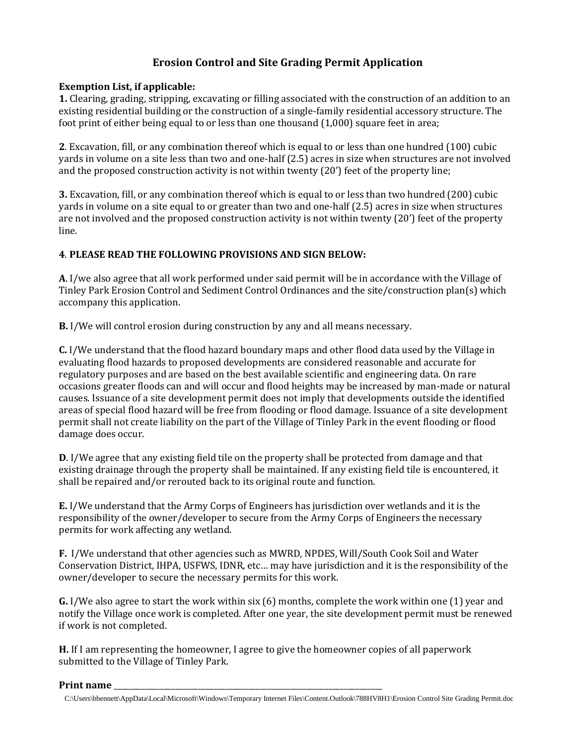# **Erosion Control and Site Grading Permit Application**

## **Exemption List, if applicable:**

**1.** Clearing, grading, stripping, excavating or filling associated with the construction of an addition to an existing residential building or the construction of a single-family residential accessory structure. The foot print of either being equal to or less than one thousand (1,000) square feet in area;

**2**. Excavation, fill, or any combination thereof which is equal to or less than one hundred (100) cubic yards in volume on a site less than two and one-half (2.5) acres in size when structures are not involved and the proposed construction activity is not within twenty (20') feet of the property line;

**3.** Excavation, fill, or any combination thereof which is equal to or less than two hundred (200) cubic yards in volume on a site equal to or greater than two and one-half (2.5) acres in size when structures are not involved and the proposed construction activity is not within twenty (20') feet of the property line.

## **4**. **PLEASE READ THE FOLLOWING PROVISIONS AND SIGN BELOW:**

**A**. I/we also agree that all work performed under said permit will be in accordance with the Village of Tinley Park Erosion Control and Sediment Control Ordinances and the site/construction plan(s) which accompany this application.

**B.** I/We will control erosion during construction by any and all means necessary.

**C.** I/We understand that the flood hazard boundary maps and other flood data used by the Village in evaluating flood hazards to proposed developments are considered reasonable and accurate for regulatory purposes and are based on the best available scientific and engineering data. On rare occasions greater floods can and will occur and flood heights may be increased by man-made or natural causes. Issuance of a site development permit does not imply that developments outside the identified areas of special flood hazard will be free from flooding or flood damage. Issuance of a site development permit shall not create liability on the part of the Village of Tinley Park in the event flooding or flood damage does occur.

**D**. I/We agree that any existing field tile on the property shall be protected from damage and that existing drainage through the property shall be maintained. If any existing field tile is encountered, it shall be repaired and/or rerouted back to its original route and function.

**E.** I/We understand that the Army Corps of Engineers has jurisdiction over wetlands and it is the responsibility of the owner/developer to secure from the Army Corps of Engineers the necessary permits for work affecting any wetland.

**F.** I/We understand that other agencies such as MWRD, NPDES, Will/South Cook Soil and Water Conservation District, IHPA, USFWS, IDNR, etc… may have jurisdiction and it is the responsibility of the owner/developer to secure the necessary permits for this work.

**G.** I/We also agree to start the work within six (6) months, complete the work within one (1) year and notify the Village once work is completed. After one year, the site development permit must be renewed if work is not completed.

**H.** If I am representing the homeowner, I agree to give the homeowner copies of all paperwork submitted to the Village of Tinley Park.

#### **Print name** \_\_\_\_\_\_\_\_\_\_\_\_\_\_\_\_\_\_\_\_\_\_\_\_\_\_\_\_\_\_\_\_\_\_\_\_\_\_\_\_\_\_\_\_\_\_\_\_\_\_\_\_\_\_\_\_\_\_\_\_\_\_\_\_\_\_\_\_\_\_

C:\Users\bbennett\AppData\Local\Microsoft\Windows\Temporary Internet Files\Content.Outlook\788HV8H1\Erosion Control Site Grading Permit.doc